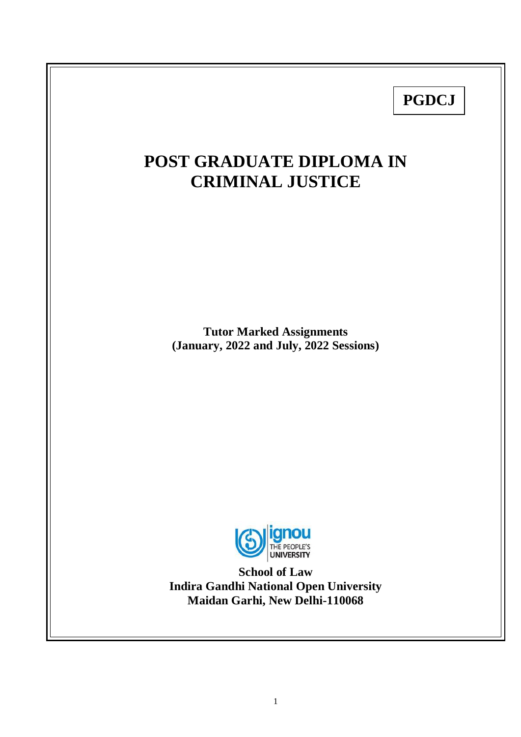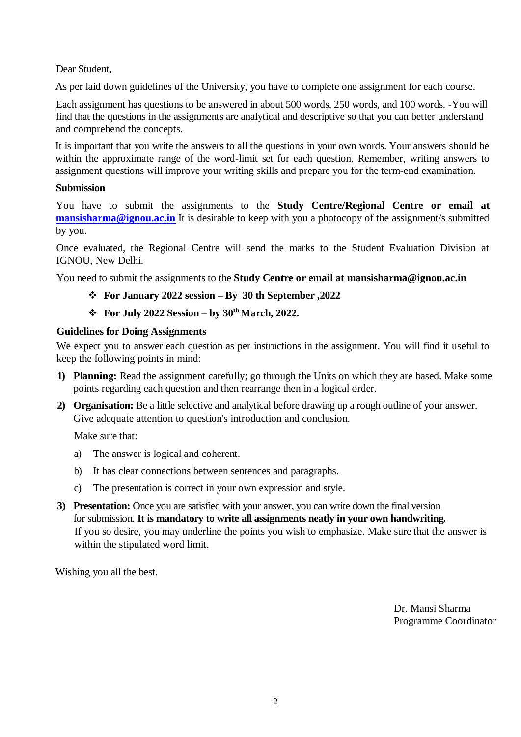Dear Student,

As per laid down guidelines of the University, you have to complete one assignment for each course.

Each assignment has questions to be answered in about 500 words, 250 words, and 100 words. -You will find that the questions in the assignments are analytical and descriptive so that you can better understand and comprehend the concepts.

It is important that you write the answers to all the questions in your own words. Your answers should be within the approximate range of the word-limit set for each question. Remember, writing answers to assignment questions will improve your writing skills and prepare you for the term-end examination.

# **Submission**

You have to submit the assignments to the **Study Centre/Regional Centre or email at [mansisharma@ignou.ac.in](mailto:mansisharma@ignou.ac.in)** It is desirable to keep with you a photocopy of the assignment/s submitted by you.

Once evaluated, the Regional Centre will send the marks to the Student Evaluation Division at IGNOU, New Delhi.

You need to submit the assignments to the **Study Centre or email at mansisharma@ignou.ac.in**

# **For January 2022 session – By 30 th September ,2022**

# **For July 2022 Session – by 30th March, 2022.**

# **Guidelines for Doing Assignments**

We expect you to answer each question as per instructions in the assignment. You will find it useful to keep the following points in mind:

- **1) Planning:** Read the assignment carefully; go through the Units on which they are based. Make some points regarding each question and then rearrange then in a logical order.
- **2) Organisation:** Be a little selective and analytical before drawing up a rough outline of your answer. Give adequate attention to question's introduction and conclusion.

Make sure that:

- a) The answer is logical and coherent.
- b) It has clear connections between sentences and paragraphs.
- c) The presentation is correct in your own expression and style.
- **3) Presentation:** Once you are satisfied with your answer, you can write down the final version for submission. **It is mandatory to write all assignments neatly in your own handwriting.** If you so desire, you may underline the points you wish to emphasize. Make sure that the answer is within the stipulated word limit.

Wishing you all the best.

 Dr. Mansi Sharma Programme Coordinator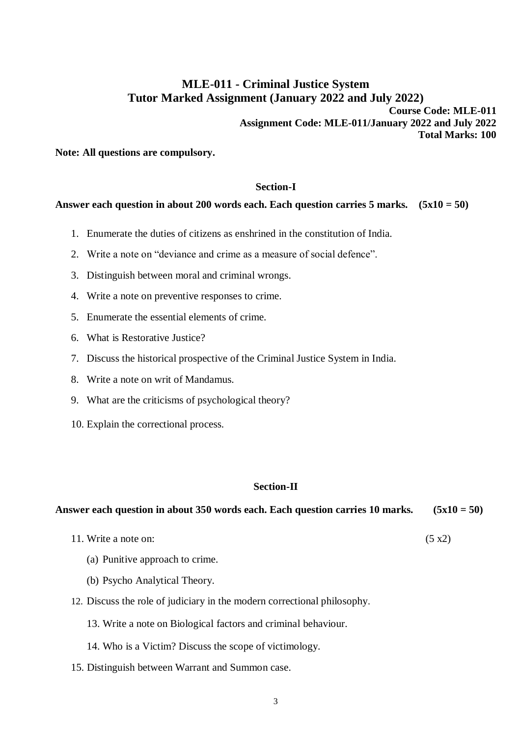# **MLE-011 - Criminal Justice System Tutor Marked Assignment (January 2022 and July 2022)**

**Course Code: MLE-011 Assignment Code: MLE-011/January 2022 and July 2022 Total Marks: 100** 

**Note: All questions are compulsory.**

# **Section-I**

## **Answer each question in about 200 words each. Each question carries 5 marks. (5x10 = 50)**

- 1. Enumerate the duties of citizens as enshrined in the constitution of India.
- 2. Write a note on "deviance and crime as a measure of social defence".
- 3. Distinguish between moral and criminal wrongs.
- 4. Write a note on preventive responses to crime.
- 5. Enumerate the essential elements of crime.
- 6. What is Restorative Justice?
- 7. Discuss the historical prospective of the Criminal Justice System in India.
- 8. Write a note on writ of Mandamus.
- 9. What are the criticisms of psychological theory?
- 10. Explain the correctional process.

# **Section-II**

| Answer each question in about 350 words each. Each question carries 10 marks. | $(5x10 = 50)$ |
|-------------------------------------------------------------------------------|---------------|
| 11. Write a note on:                                                          | (5 x2)        |
| (a) Punitive approach to crime.                                               |               |

- 
- (b) Psycho Analytical Theory.
- 12. Discuss the role of judiciary in the modern correctional philosophy.
	- 13. Write a note on Biological factors and criminal behaviour.
	- 14. Who is a Victim? Discuss the scope of victimology.
- 15. Distinguish between Warrant and Summon case.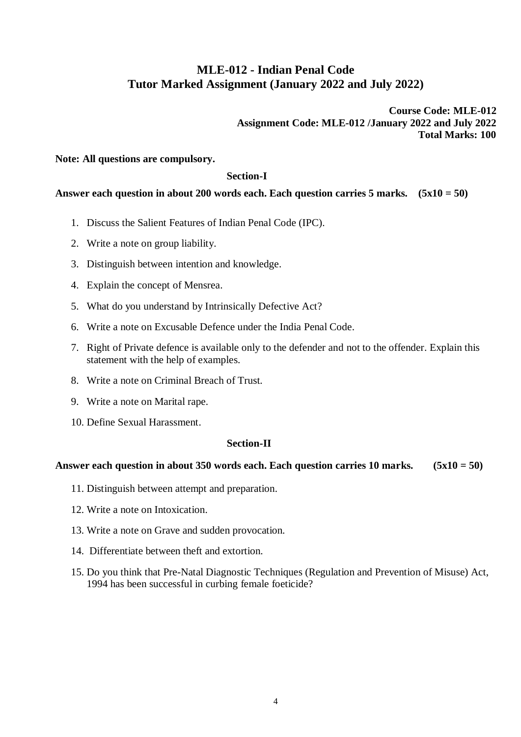# **MLE-012 - Indian Penal Code Tutor Marked Assignment (January 2022 and July 2022)**

**Course Code: MLE-012 Assignment Code: MLE-012 /January 2022 and July 2022 Total Marks: 100**

# **Note: All questions are compulsory.**

### **Section-I**

## **Answer each question in about 200 words each. Each question carries 5 marks. (5x10 = 50)**

- 1. Discuss the Salient Features of Indian Penal Code (IPC).
- 2. Write a note on group liability.
- 3. Distinguish between intention and knowledge.
- 4. Explain the concept of Mensrea.
- 5. What do you understand by Intrinsically Defective Act?
- 6. Write a note on Excusable Defence under the India Penal Code.
- 7. Right of Private defence is available only to the defender and not to the offender. Explain this statement with the help of examples.
- 8. Write a note on Criminal Breach of Trust.
- 9. Write a note on Marital rape.
- 10. Define Sexual Harassment.

### **Section-II**

- 11. Distinguish between attempt and preparation.
- 12. Write a note on Intoxication.
- 13. Write a note on Grave and sudden provocation.
- 14. Differentiate between theft and extortion.
- 15. Do you think that Pre-Natal Diagnostic Techniques (Regulation and Prevention of Misuse) Act, 1994 has been successful in curbing female foeticide?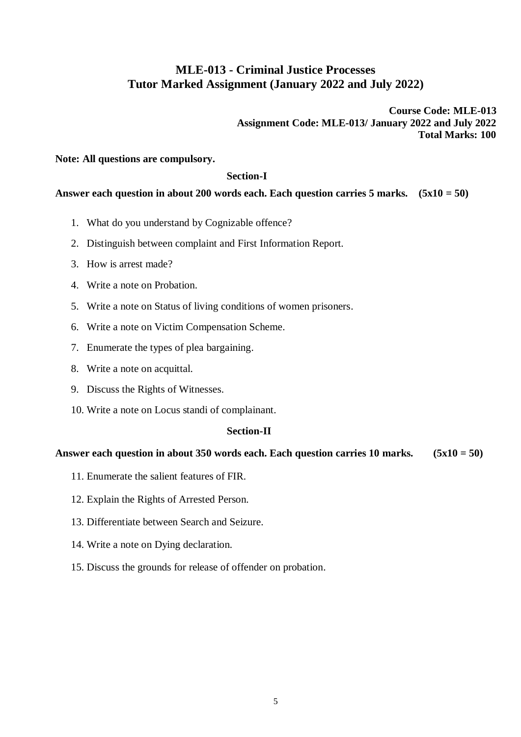# **MLE-013 - Criminal Justice Processes Tutor Marked Assignment (January 2022 and July 2022)**

**Course Code: MLE-013 Assignment Code: MLE-013/ January 2022 and July 2022 Total Marks: 100**

# **Note: All questions are compulsory.**

#### **Section-I**

## **Answer each question in about 200 words each. Each question carries 5 marks. (5x10 = 50)**

- 1. What do you understand by Cognizable offence?
- 2. Distinguish between complaint and First Information Report.
- 3. How is arrest made?
- 4. Write a note on Probation.
- 5. Write a note on Status of living conditions of women prisoners.
- 6. Write a note on Victim Compensation Scheme.
- 7. Enumerate the types of plea bargaining.
- 8. Write a note on acquittal.
- 9. Discuss the Rights of Witnesses.
- 10. Write a note on Locus standi of complainant.

### **Section-II**

- 11. Enumerate the salient features of FIR.
- 12. Explain the Rights of Arrested Person.
- 13. Differentiate between Search and Seizure.
- 14. Write a note on Dying declaration.
- 15. Discuss the grounds for release of offender on probation.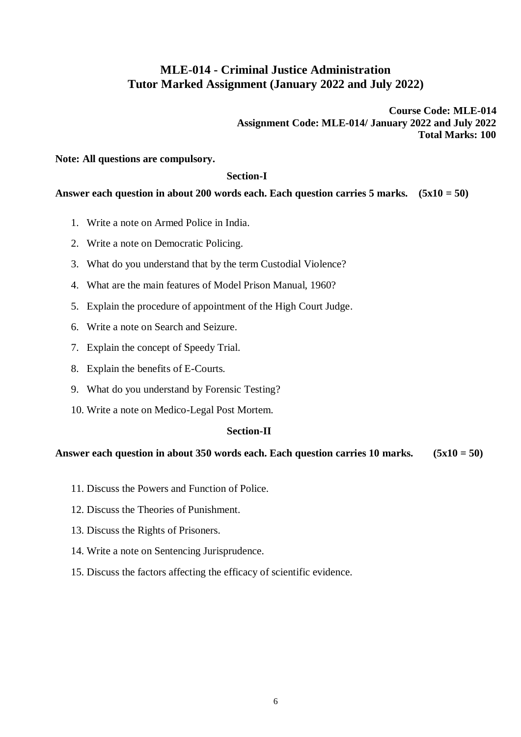# **MLE-014 - Criminal Justice Administration Tutor Marked Assignment (January 2022 and July 2022)**

**Course Code: MLE-014 Assignment Code: MLE-014/ January 2022 and July 2022 Total Marks: 100**

# **Note: All questions are compulsory.**

### **Section-I**

# **Answer each question in about 200 words each. Each question carries 5 marks. (5x10 = 50)**

- 1. Write a note on Armed Police in India.
- 2. Write a note on Democratic Policing.
- 3. What do you understand that by the term Custodial Violence?
- 4. What are the main features of Model Prison Manual, 1960?
- 5. Explain the procedure of appointment of the High Court Judge.
- 6. Write a note on Search and Seizure.
- 7. Explain the concept of Speedy Trial.
- 8. Explain the benefits of E-Courts.
- 9. What do you understand by Forensic Testing?
- 10. Write a note on Medico-Legal Post Mortem.

# **Section-II**

- 11. Discuss the Powers and Function of Police.
- 12. Discuss the Theories of Punishment.
- 13. Discuss the Rights of Prisoners.
- 14. Write a note on Sentencing Jurisprudence.
- 15. Discuss the factors affecting the efficacy of scientific evidence.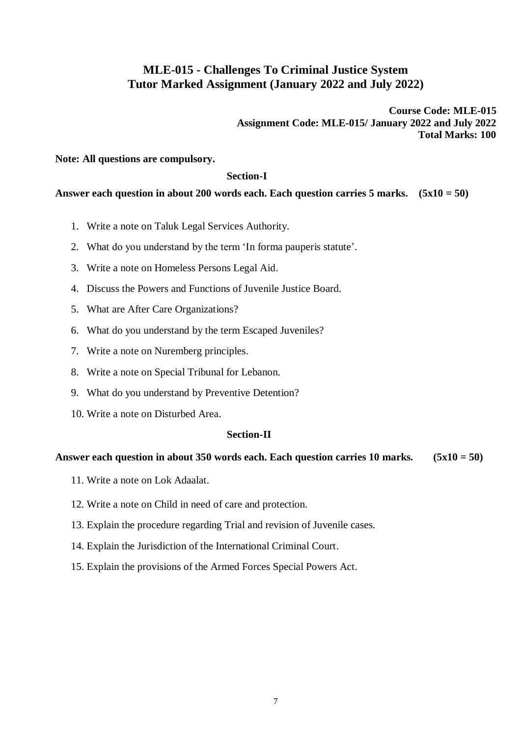# **MLE-015 - Challenges To Criminal Justice System Tutor Marked Assignment (January 2022 and July 2022)**

**Course Code: MLE-015 Assignment Code: MLE-015/ January 2022 and July 2022 Total Marks: 100**

### **Note: All questions are compulsory.**

### **Section-I**

### **Answer each question in about 200 words each. Each question carries 5 marks. (5x10 = 50)**

- 1. Write a note on Taluk Legal Services Authority.
- 2. What do you understand by the term 'In forma pauperis statute'.
- 3. Write a note on Homeless Persons Legal Aid.
- 4. Discuss the Powers and Functions of Juvenile Justice Board.
- 5. What are After Care Organizations?
- 6. What do you understand by the term Escaped Juveniles?
- 7. Write a note on Nuremberg principles.
- 8. Write a note on Special Tribunal for Lebanon.
- 9. What do you understand by Preventive Detention?
- 10. Write a note on Disturbed Area.

### **Section-II**

- 11. Write a note on Lok Adaalat.
- 12. Write a note on Child in need of care and protection.
- 13. Explain the procedure regarding Trial and revision of Juvenile cases.
- 14. Explain the Jurisdiction of the International Criminal Court.
- 15. Explain the provisions of the Armed Forces Special Powers Act.